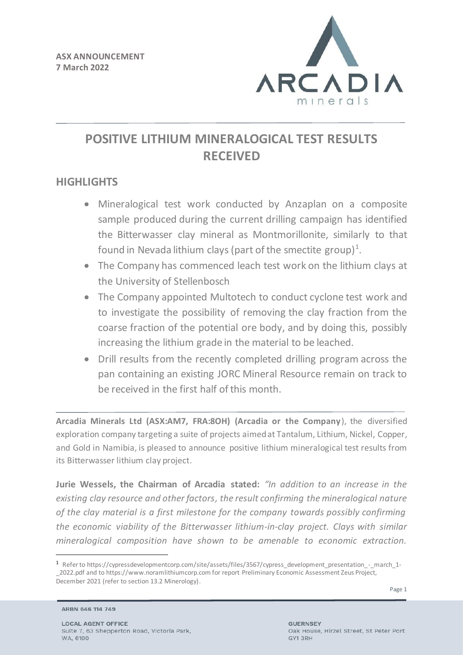

# **POSITIVE LITHIUM MINERALOGICAL TEST RESULTS RECEIVED**

# **HIGHLIGHTS**

- Mineralogical test work conducted by Anzaplan on a composite sample produced during the current drilling campaign has identified the Bitterwasser clay mineral as Montmorillonite, similarly to that found in Nevada lithium clays (part of the smectite group)<sup>1</sup>.
- The Company has commenced leach test work on the lithium clays at the University of Stellenbosch
- The Company appointed Multotech to conduct cyclone test work and to investigate the possibility of removing the clay fraction from the coarse fraction of the potential ore body, and by doing this, possibly increasing the lithium grade in the material to be leached.
- Drill results from the recently completed drilling program across the pan containing an existing JORC Mineral Resource remain on track to be received in the first half of this month.

**Arcadia Minerals Ltd (ASX:AM7, FRA:8OH) (Arcadia or the Company**), the diversified exploration company targeting a suite of projects aimed at Tantalum, Lithium, Nickel, Copper, and Gold in Namibia, is pleased to announce positive lithium mineralogical test results from its Bitterwasser lithium clay project.

**Jurie Wessels, the Chairman of Arcadia stated:** *"In addition to an increase in the existing clay resource and other factors, the result confirming the mineralogical nature of the clay material is a first milestone for the company towards possibly confirming the economic viability of the Bitterwasser lithium-in-clay project. Clays with similar mineralogical composition have shown to be amenable to economic extraction.* 

<sup>1</sup> Refer to https://cypressdevelopmentcorp.com/site/assets/files/3567/cypress\_development\_presentation\_-\_march\_1- \_2022.pdf and to https://www.noramlithiumcorp.com for report Preliminary Economic Assessment Zeus Project, December 2021 (refer to section 13.2 Minerology).

ARBN 646 114 749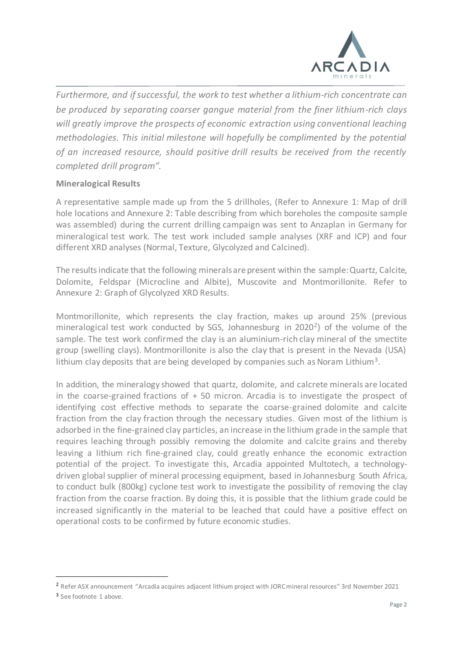

*Furthermore, and if successful, the work to test whether a lithium-rich concentrate can be produced by separating coarser gangue material from the finer lithium-rich clays will greatly improve the prospects of economic extraction using conventional leaching methodologies. This initial milestone will hopefully be complimented by the potential of an increased resource, should positive drill results be received from the recently completed drill program".* 

### **Mineralogical Results**

A representative sample made up from the 5 drillholes, (Refer to Annexure 1: Map of drill hole locations and Annexure 2: Table describing from which boreholes the composite sample was assembled) during the current drilling campaign was sent to Anzaplan in Germany for mineralogical test work. The test work included sample analyses (XRF and ICP) and four different XRD analyses (Normal, Texture, Glycolyzed and Calcined).

The results indicate that the following minerals are present within the sample:Quartz, Calcite, Dolomite, Feldspar (Microcline and Albite), Muscovite and Montmorillonite. Refer to Annexure 2: Graph of Glycolyzed XRD Results.

Montmorillonite, which represents the clay fraction, makes up around 25% (previous mineralogical test work conducted by SGS, Johannesburg in 2020<sup>2</sup>) of the volume of the sample. The test work confirmed the clay is an aluminium-rich clay mineral of the smectite group (swelling clays). Montmorillonite is also the clay that is present in the Nevada (USA) lithium clay deposits that are being developed by companies such as Noram Lithium<sup>3</sup>.

In addition, the mineralogy showed that quartz, dolomite, and calcrete minerals are located in the coarse-grained fractions of  $+50$  micron. Arcadia is to investigate the prospect of identifying cost effective methods to separate the coarse-grained dolomite and calcite fraction from the clay fraction through the necessary studies. Given most of the lithium is adsorbed in the fine-grained clay particles, an increase in the lithium grade in the sample that requires leaching through possibly removing the dolomite and calcite grains and thereby leaving a lithium rich fine-grained clay, could greatly enhance the economic extraction potential of the project. To investigate this, Arcadia appointed Multotech, a technologydriven global supplier of mineral processing equipment, based in Johannesburg South Africa, to conduct bulk (800kg) cyclone test work to investigate the possibility of removing the clay fraction from the coarse fraction. By doing this, it is possible that the lithium grade could be increased significantly in the material to be leached that could have a positive effect on operational costs to be confirmed by future economic studies.

<sup>2</sup> Refer ASX announcement "Arcadia acquires adjacent lithium project with JORC mineral resources" 3rd November 2021

<sup>&</sup>lt;sup>3</sup> See footnote 1 above.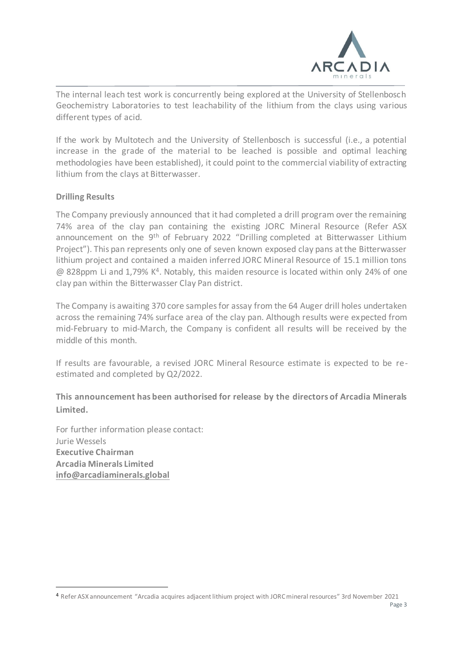

The internal leach test work is concurrently being explored at the University of Stellenbosch Geochemistry Laboratories to test leachability of the lithium from the clays using various different types of acid.

If the work by Multotech and the University of Stellenbosch is successful (i.e., a potential increase in the grade of the material to be leached is possible and optimal leaching methodologies have been established), it could point to the commercial viability of extracting lithium from the clays at Bitterwasser.

### **Drilling Results**

The Company previously announced that it had completed a drill program over the remaining 74% area of the clay pan containing the existing JORC Mineral Resource (Refer ASX announcement on the 9<sup>th</sup> of February 2022 "Drilling completed at Bitterwasser Lithium Project"). This pan represents only one of seven known exposed clay pans at the Bitterwasser lithium project and contained a maiden inferred JORC Mineral Resource of 15.1 million tons @ 828ppm Li and 1,79% K<sup>4</sup>. Notably, this maiden resource is located within only 24% of one clay pan within the Bitterwasser Clay Pan district.

The Company is awaiting 370 core samples for assay from the 64 Auger drill holes undertaken across the remaining 74% surface area of the clay pan. Although results were expected from mid-February to mid-March, the Company is confident all results will be received by the middle of this month.

If results are favourable, a revised JORC Mineral Resource estimate is expected to be reestimated and completed by Q2/2022.

## **This announcement has been authorised for release by the directors of Arcadia Minerals Limited.**

For further information please contact: Jurie Wessels **Executive Chairman Arcadia Minerals Limited info@arcadiaminerals.global**

<sup>4</sup> Refer ASX announcement "Arcadia acquires adjacent lithium project with JORC mineral resources" 3rd November 2021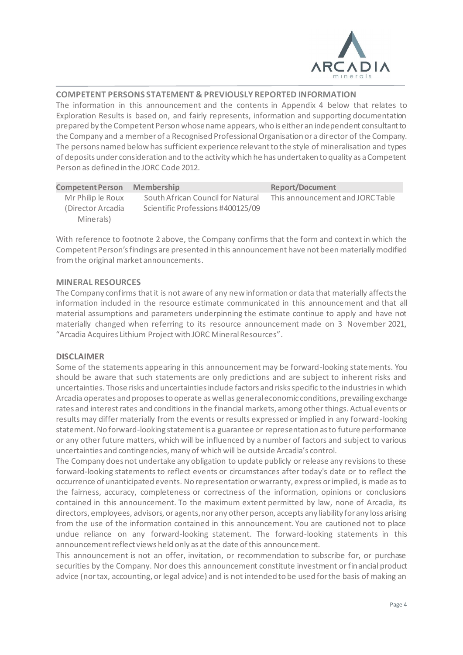

### **COMPETENT PERSONS STATEMENT & PREVIOUSLY REPORTED INFORMATION**

The information in this announcement and the contents in Appendix 4 below that relates to Exploration Results is based on, and fairly represents, information and supporting documentation prepared by the Competent Person whose name appears, who is either an independent consultant to the Company and a member of a Recognised Professional Organisation or a director of the Company. The persons named below has sufficient experience relevant to the style of mineralisation and types of deposits under consideration and to the activity which he has undertaken to quality as a Competent Person as defined in the JORC Code 2012.

| <b>Competent Person</b> | <b>Membership</b>                 | <b>Report/Document</b>           |
|-------------------------|-----------------------------------|----------------------------------|
| Mr Philip le Roux       | South African Council for Natural | This announcement and JORC Table |
| (Director Arcadia)      | Scientific Professions #400125/09 |                                  |
| Minerals)               |                                   |                                  |

With reference to footnote 2 above, the Company confirms that the form and context in which the Competent Person's findings are presented in this announcement have not been materially modified from the original market announcements.

### **MINERAL RESOURCES**

The Company confirms that it is not aware of any new information or data that materially affects the information included in the resource estimate communicated in this announcement and that all material assumptions and parameters underpinning the estimate continue to apply and have not materially changed when referring to its resource announcement made on 3 November 2021, "Arcadia Acquires Lithium Project with JORC Mineral Resources".

### **DISCLAIMER**

Some of the statements appearing in this announcement may be forward-looking statements. You should be aware that such statements are only predictions and are subject to inherent risks and uncertainties. Those risks and uncertainties include factors and risks specific to the industries in which Arcadia operates and proposes to operate as well as general economic conditions, prevailing exchange rates and interest rates and conditions in the financial markets, among other things. Actual events or results may differ materially from the events or results expressed or implied in any forward-looking statement. No forward-looking statement is a guarantee or representation as to future performance or any other future matters, which will be influenced by a number of factors and subject to various uncertainties and contingencies, many of which will be outside Arcadia's control.

The Company does not undertake any obligation to update publicly or release any revisions to these forward-looking statements to reflect events or circumstances after today's date or to reflect the occurrence of unanticipated events. No representation or warranty, express or implied, is made as to the fairness, accuracy, completeness or correctness of the information, opinions or conclusions contained in this announcement. To the maximum extent permitted by law, none of Arcadia, its directors, employees, advisors, or agents, nor any other person, accepts any liability for any loss arising from the use of the information contained in this announcement. You are cautioned not to place undue reliance on any forward-looking statement. The forward-looking statements in this announcement reflect views held only as at the date of this announcement.

This announcement is not an offer, invitation, or recommendation to subscribe for, or purchase securities by the Company. Nor does this announcement constitute investment or financial product advice (nor tax, accounting, or legal advice) and is not intended to be used for the basis of making an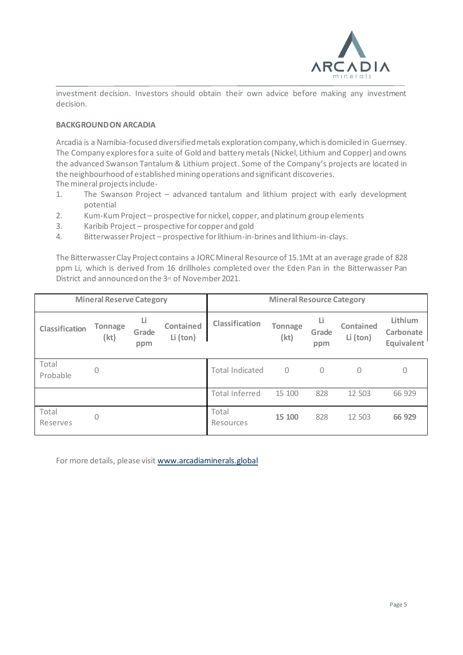

investment decision. Investors should obtain their own advice before making any investment decision.

### **BACKGROUND ON ARCADIA**

Arcadia is a Namibia-focused diversified metals exploration company, which is domiciled in Guernsey. The Company explores for a suite of Gold and battery metals (Nickel, Lithium and Copper) and owns the advanced Swanson Tantalum & Lithium project. Some of the Company's projects are located in the neighbourhood of established mining operations and significant discoveries. The mineral projects include-

- 1. The Swanson Project advanced tantalum and lithium project with early development potential
- 2. Kum-Kum Project prospective for nickel, copper, and platinum group elements
- 3. Karibib Project prospective for copper and gold
- 4. Bitterwasser Project prospective for lithium-in-brines and lithium-in-clays.

The Bitterwasser Clay Project contains a JORC Mineral Resource of 15.1Mt at an average grade of 828 ppm Li, which is derived from 16 drillholes completed over the Eden Pan in the Bitterwasser Pan District and announced on the 3<sup>rd</sup> of November 2021.

| <b>Mineral Reserve Category</b> |                 | <b>Mineral Resource Category</b> |                              |                        |                        |                    |                       |                                    |
|---------------------------------|-----------------|----------------------------------|------------------------------|------------------------|------------------------|--------------------|-----------------------|------------------------------------|
| Classification                  | Tonnage<br>(kt) | Li<br>Grade<br>ppm               | <b>Contained</b><br>Li (ton) | Classification         | <b>Tonnage</b><br>(kt) | Li<br>Grade<br>ppm | Contained<br>Li (ton) | Lithium<br>Carbonate<br>Equivalent |
| Total<br>Probable               | $\mathbf 0$     |                                  |                              | <b>Total Indicated</b> | $\mathcal{O}$          | 0                  | 0                     | 0                                  |
|                                 |                 |                                  |                              | <b>Total Inferred</b>  | 15 100                 | 828                | 12 503                | 66 929                             |
| Total<br>Reserves               | 0               |                                  |                              | Total<br>Resources     | 15 100                 | 828                | 12 503                | 66 929                             |

For more details, please visit www.arcadiaminerals.global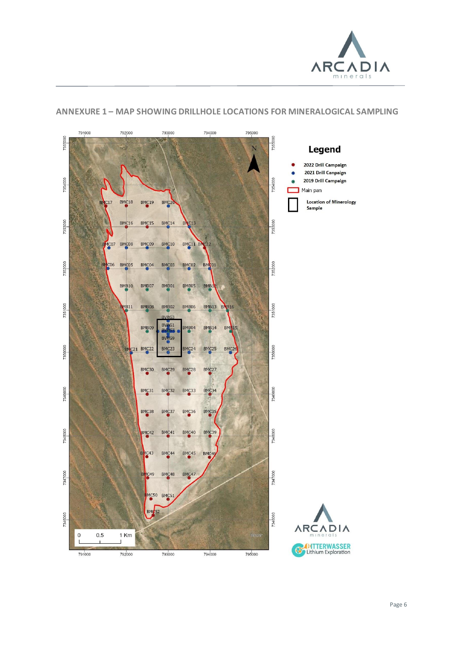

#### 791000 792000 793000 794000 795000 7355000 7355000 N Legend 2022 Drill Campaign 2021 Drill Canpaign 7354000 7354000 2019 Drill Campaign Main pan **Location of Minerology** BMC<sub>18</sub> BMC<sub>19</sub> **BMC17** BMC<sub>2</sub> Sample 7353000 7353000 **BMC16** BMC15 BMC<sub>14</sub>  $\sqrt{C}$ 13 MC07 BMC08 BMC09 BMC<sub>10</sub> BMC11 BM  $C12$ 7352000 7352000 BMC06 BMC05 BMC04 BMC03 BMC02 BMC<sub>01</sub> **BMB10** BMB07 BMB01 BMB05 BMB1 7351000 7351000 BMB11 BMB08 BMB06 **BMB13 BNB16** BMB02 BVRG1 BMB09 MB<sub>04</sub> **BMB14 BMR15** BV<sub>RG9</sub> 7350000 7350000 C21 BMC22 BMC23 BMC25 BMC2 **I**b BMC<sub>24</sub> BMC30 BMC29 BMC<sub>28</sub> BMC27 7349000 7349000 BMC31 BMC32 BMC33 BMC34 BMC38 BMC37 BMC36 BMC35 7348000 7348000 BMC42 BMC<sub>41</sub> BMC40 BMC39 BMC43 BMC<sub>44</sub> BMC45 BMC46 7347000 7347000 BMC49 BMC<sub>48</sub> BMC47 MC50 BMC51 **BMC52** 7346000 7346000 **ARCADIA**  $\mathbf 0$  $0.5$ 1 Km **BY Lithium Exploration** 792000 791000 793000 794000 795000

### **ANNEXURE 1 – MAP SHOWING DRILLHOLE LOCATIONS FOR MINERALOGICAL SAMPLING**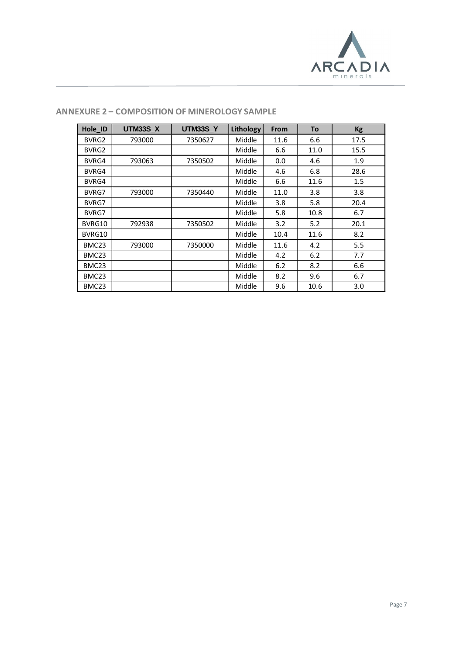

| Hole_ID           | <b>UTM33S X</b> | <b>UTM33S Y</b> | Lithology     | <b>From</b> | To    | <b>Kg</b> |
|-------------------|-----------------|-----------------|---------------|-------------|-------|-----------|
| BVRG2             | 793000          | 7350627         | Middle        | 11.6        | 6.6   | 17.5      |
| BVRG2             |                 |                 | Middle        | 6.6         | 11.0  | 15.5      |
| BVRG4             | 793063          | 7350502         | Middle        | 0.0         | 4.6   | 1.9       |
| BVRG4             |                 |                 | Middle        | 4.6         | 6.8   | 28.6      |
| BVRG4             |                 |                 | Middle        | 6.6         | 11.6  | 1.5       |
| BVRG7             | 793000          | 7350440         | Middle        | 11.0        | 3.8   | 3.8       |
| BVRG7             |                 |                 | Middle        | 3.8         | 5.8   | 20.4      |
| BVRG7             |                 |                 | Middle        | 5.8         | 10.8  | 6.7       |
| BVRG10            | 792938          | 7350502         | Middle        | 3.2         | 5.2   | 20.1      |
| BVRG10            |                 |                 | Middle        | 10.4        | 11.6  | 8.2       |
| BMC <sub>23</sub> | 793000          | 7350000         | <b>Middle</b> | 11.6        | 4.2   | 5.5       |
| BMC <sub>23</sub> |                 |                 | Middle        | 4.2         | $6.2$ | 7.7       |
| BMC <sub>23</sub> |                 |                 | Middle        | 6.2         | 8.2   | 6.6       |
| BMC <sub>23</sub> |                 |                 | <b>Middle</b> | 8.2         | 9.6   | 6.7       |
| BMC <sub>23</sub> |                 |                 | <b>Middle</b> | 9.6         | 10.6  | 3.0       |

### **ANNEXURE 2 – COMPOSITION OF MINEROLOGY SAMPLE**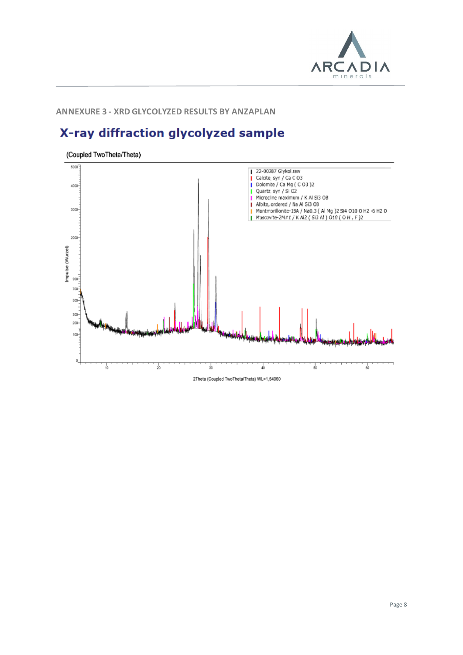

### **ANNEXURE 3 - XRD GLYCOLYZED RESULTS BY ANZAPLAN**

# X-ray diffraction glycolyzed sample

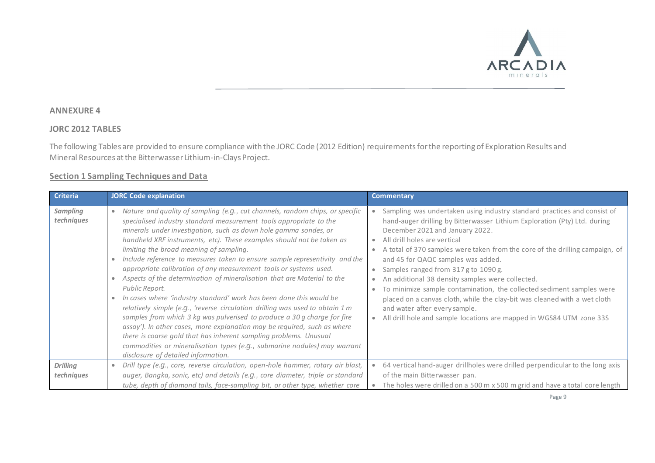

### **ANNEXURE 4**

### **JORC 2012 TABLES**

The following Tables are provided to ensure compliance with the JORC Code (2012 Edition) requirements for the reporting of Exploration Results and Mineral Resources at the Bitterwasser Lithium-in-Clays Project.

### **Section 1 Sampling Techniques and Data**

| <b>Criteria</b>               | <b>JORC Code explanation</b>                                                                                                                                                                                                                                                                                                                                                                                                                                                                                                                                                                                                                                                                                                                                                                                                                                                                                                                                                                                                                                                                                       | <b>Commentary</b>                                                                                                                                                                                                                                                                                                                                                                                                                                                                                                                                                                                                                                                                                                                     |
|-------------------------------|--------------------------------------------------------------------------------------------------------------------------------------------------------------------------------------------------------------------------------------------------------------------------------------------------------------------------------------------------------------------------------------------------------------------------------------------------------------------------------------------------------------------------------------------------------------------------------------------------------------------------------------------------------------------------------------------------------------------------------------------------------------------------------------------------------------------------------------------------------------------------------------------------------------------------------------------------------------------------------------------------------------------------------------------------------------------------------------------------------------------|---------------------------------------------------------------------------------------------------------------------------------------------------------------------------------------------------------------------------------------------------------------------------------------------------------------------------------------------------------------------------------------------------------------------------------------------------------------------------------------------------------------------------------------------------------------------------------------------------------------------------------------------------------------------------------------------------------------------------------------|
| <b>Sampling</b><br>techniques | Nature and quality of sampling (e.g., cut channels, random chips, or specific<br>$\bullet$<br>specialised industry standard measurement tools appropriate to the<br>minerals under investigation, such as down hole gamma sondes, or<br>handheld XRF instruments, etc). These examples should not be taken as<br>limiting the broad meaning of sampling.<br>Include reference to measures taken to ensure sample representivity and the<br>appropriate calibration of any measurement tools or systems used.<br>Aspects of the determination of mineralisation that are Material to the<br>Public Report.<br>In cases where 'industry standard' work has been done this would be<br>relatively simple (e.g., 'reverse circulation drilling was used to obtain 1 m<br>samples from which 3 kg was pulverised to produce a 30 g charge for fire<br>assay'). In other cases, more explanation may be required, such as where<br>there is coarse gold that has inherent sampling problems. Unusual<br>commodities or mineralisation types (e.g., submarine nodules) may warrant<br>disclosure of detailed information. | Sampling was undertaken using industry standard practices and consist of<br>$\bullet$<br>hand-auger drilling by Bitterwasser Lithium Exploration (Pty) Ltd. during<br>December 2021 and January 2022.<br>• All drill holes are vertical<br>A total of 370 samples were taken from the core of the drilling campaign, of<br>and 45 for QAQC samples was added.<br>Samples ranged from 317 g to 1090 g.<br>An additional 38 density samples were collected.<br>$\bullet$<br>To minimize sample contamination, the collected sediment samples were<br>placed on a canvas cloth, while the clay-bit was cleaned with a wet cloth<br>and water after every sample.<br>All drill hole and sample locations are mapped in WGS84 UTM zone 33S |
| <b>Drilling</b><br>techniques | Drill type (e.g., core, reverse circulation, open-hole hammer, rotary air blast,<br>$\bullet$<br>auger, Bangka, sonic, etc) and details (e.g., core diameter, triple or standard                                                                                                                                                                                                                                                                                                                                                                                                                                                                                                                                                                                                                                                                                                                                                                                                                                                                                                                                   | • 64 vertical hand-auger drillholes were drilled perpendicular to the long axis<br>of the main Bitterwasser pan.                                                                                                                                                                                                                                                                                                                                                                                                                                                                                                                                                                                                                      |
|                               | tube, depth of diamond tails, face-sampling bit, or other type, whether core                                                                                                                                                                                                                                                                                                                                                                                                                                                                                                                                                                                                                                                                                                                                                                                                                                                                                                                                                                                                                                       | The holes were drilled on a 500 m x 500 m grid and have a total core length                                                                                                                                                                                                                                                                                                                                                                                                                                                                                                                                                                                                                                                           |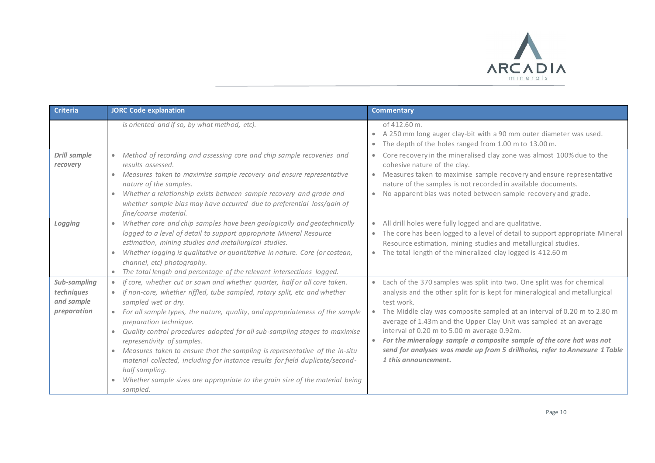

| <b>Criteria</b>                                         | <b>JORC Code explanation</b>                                                                                                                                                                                                                                                                                                                                                                                                                                                                                                                                                                                                                                                                                                           | <b>Commentary</b>                                                                                                                                                                                                                                                                                                                                                                                                                                                                                                                                                             |
|---------------------------------------------------------|----------------------------------------------------------------------------------------------------------------------------------------------------------------------------------------------------------------------------------------------------------------------------------------------------------------------------------------------------------------------------------------------------------------------------------------------------------------------------------------------------------------------------------------------------------------------------------------------------------------------------------------------------------------------------------------------------------------------------------------|-------------------------------------------------------------------------------------------------------------------------------------------------------------------------------------------------------------------------------------------------------------------------------------------------------------------------------------------------------------------------------------------------------------------------------------------------------------------------------------------------------------------------------------------------------------------------------|
|                                                         | is oriented and if so, by what method, etc).                                                                                                                                                                                                                                                                                                                                                                                                                                                                                                                                                                                                                                                                                           | of 412.60 m.<br>A 250 mm long auger clay-bit with a 90 mm outer diameter was used.<br>$\bullet$<br>The depth of the holes ranged from 1.00 m to 13.00 m.<br>$\bullet$                                                                                                                                                                                                                                                                                                                                                                                                         |
| Drill sample<br>recovery                                | Method of recording and assessing core and chip sample recoveries and<br>$\bullet$<br>results assessed.<br>Measures taken to maximise sample recovery and ensure representative<br>$\bullet$<br>nature of the samples.<br>Whether a relationship exists between sample recovery and grade and<br>$\bullet$<br>whether sample bias may have occurred due to preferential loss/gain of<br>fine/coarse material.                                                                                                                                                                                                                                                                                                                          | Core recovery in the mineralised clay zone was almost 100% due to the<br>cohesive nature of the clay.<br>Measures taken to maximise sample recovery and ensure representative<br>$\bullet$<br>nature of the samples is not recorded in available documents.<br>No apparent bias was noted between sample recovery and grade.<br>$\bullet$                                                                                                                                                                                                                                     |
| Logging                                                 | Whether core and chip samples have been geologically and geotechnically<br>$\bullet$<br>logged to a level of detail to support appropriate Mineral Resource<br>estimation, mining studies and metallurgical studies.<br>Whether logging is qualitative or quantitative in nature. Core (or costean,<br>$\bullet$<br>channel, etc) photography.<br>The total length and percentage of the relevant intersections logged.<br>$\bullet$                                                                                                                                                                                                                                                                                                   | All drill holes were fully logged and are qualitative.<br>$\bullet$<br>The core has been logged to a level of detail to support appropriate Mineral<br>$\bullet$<br>Resource estimation, mining studies and metallurgical studies.<br>The total length of the mineralized clay logged is 412.60 m<br>$\bullet$                                                                                                                                                                                                                                                                |
| Sub-sampling<br>techniques<br>and sample<br>preparation | If core, whether cut or sawn and whether quarter, half or all core taken.<br>$\bullet$<br>If non-core, whether riffled, tube sampled, rotary split, etc and whether<br>$\bullet$<br>sampled wet or dry.<br>For all sample types, the nature, quality, and appropriateness of the sample<br>preparation technique.<br>Quality control procedures adopted for all sub-sampling stages to maximise<br>$\bullet$<br>representivity of samples.<br>Measures taken to ensure that the sampling is representative of the in-situ<br>$\bullet$<br>material collected, including for instance results for field duplicate/second-<br>half sampling.<br>Whether sample sizes are appropriate to the grain size of the material being<br>sampled. | Each of the 370 samples was split into two. One split was for chemical<br>$\bullet$<br>analysis and the other split for is kept for mineralogical and metallurgical<br>test work.<br>The Middle clay was composite sampled at an interval of 0.20 m to 2.80 m<br>$\bullet$<br>average of 1.43m and the Upper Clay Unit was sampled at an average<br>interval of 0.20 m to 5.00 m average 0.92m.<br>For the mineralogy sample a composite sample of the core hat was not<br>send for analyses was made up from 5 drillholes, refer to Annexure 1 Table<br>1 this announcement. |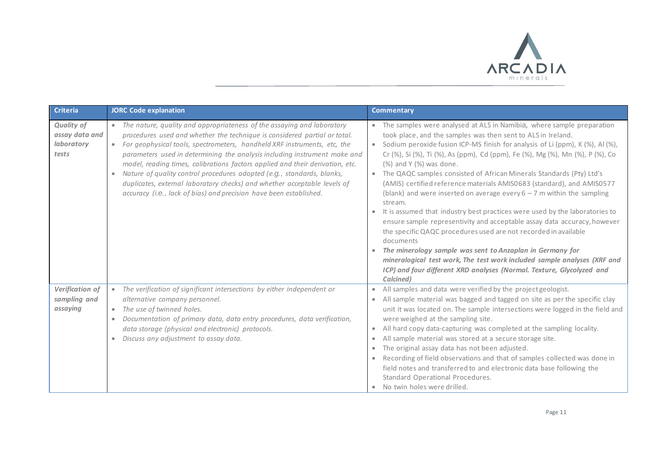

| <b>Criteria</b>                                            | <b>JORC Code explanation</b>                                                                                                                                                                                                                                                                                                                                                                                                                                                                                                                                                                                                                          | <b>Commentary</b>                                                                                                                                                                                                                                                                                                                                                                                                                                                                                                                                                                                                                                                                                                                                                                                                                                                                                                                                                                                                                                                          |
|------------------------------------------------------------|-------------------------------------------------------------------------------------------------------------------------------------------------------------------------------------------------------------------------------------------------------------------------------------------------------------------------------------------------------------------------------------------------------------------------------------------------------------------------------------------------------------------------------------------------------------------------------------------------------------------------------------------------------|----------------------------------------------------------------------------------------------------------------------------------------------------------------------------------------------------------------------------------------------------------------------------------------------------------------------------------------------------------------------------------------------------------------------------------------------------------------------------------------------------------------------------------------------------------------------------------------------------------------------------------------------------------------------------------------------------------------------------------------------------------------------------------------------------------------------------------------------------------------------------------------------------------------------------------------------------------------------------------------------------------------------------------------------------------------------------|
| <b>Quality of</b><br>assay data and<br>laboratory<br>tests | • The nature, quality and appropriateness of the assaying and laboratory<br>procedures used and whether the technique is considered partial or total.<br>For geophysical tools, spectrometers, handheld XRF instruments, etc, the<br>$\bullet$<br>parameters used in determining the analysis including instrument make and<br>model, reading times, calibrations factors applied and their derivation, etc.<br>Nature of quality control procedures adopted (e.g., standards, blanks,<br>$\bullet$<br>duplicates, external laboratory checks) and whether acceptable levels of<br>accuracy (i.e., lack of bias) and precision have been established. | • The samples were analysed at ALS in Namibia, where sample preparation<br>took place, and the samples was then sent to ALS in Ireland.<br>• Sodium peroxide fusion ICP-MS finish for analysis of Li (ppm), K (%), Al (%),<br>Cr (%), Si (%), Ti (%), As (ppm), Cd (ppm), Fe (%), Mg (%), Mn (%), P (%), Co<br>(%) and Y (%) was done.<br>• The QAQC samples consisted of African Minerals Standards (Pty) Ltd's<br>(AMIS) certified reference materials AMIS0683 (standard), and AMIS0577<br>(blank) and were inserted on average every $6 - 7$ m within the sampling<br>stream.<br>It is assumed that industry best practices were used by the laboratories to<br>$\bullet$<br>ensure sample representivity and acceptable assay data accuracy, however<br>the specific QAQC procedures used are not recorded in available<br>documents<br>• The minerology sample was sent to Anzaplan in Germany for<br>mineralogical test work, The test work included sample analyses (XRF and<br>ICP) and four different XRD analyses (Normal. Texture, Glycolyzed and<br>Calcined) |
| Verification of<br>sampling and<br>assaying                | The verification of significant intersections by either independent or<br>$\bullet$<br>alternative company personnel.<br>The use of twinned holes.<br>$\bullet$<br>Documentation of primary data, data entry procedures, data verification,<br>$\bullet$<br>data storage (physical and electronic) protocols.<br>Discuss any adjustment to assay data.<br>$\bullet$                                                                                                                                                                                                                                                                                   | All samples and data were verified by the project geologist.<br>$\bullet$<br>All sample material was bagged and tagged on site as per the specific clay<br>$\bullet$<br>unit it was located on. The sample intersections were logged in the field and<br>were weighed at the sampling site.<br>All hard copy data-capturing was completed at the sampling locality.<br>$\bullet$<br>All sample material was stored at a secure storage site.<br>$\bullet$<br>The original assay data has not been adjusted.<br>$\bullet$<br>Recording of field observations and that of samples collected was done in<br>$\bullet$<br>field notes and transferred to and electronic data base following the<br>Standard Operational Procedures.<br>No twin holes were drilled.                                                                                                                                                                                                                                                                                                             |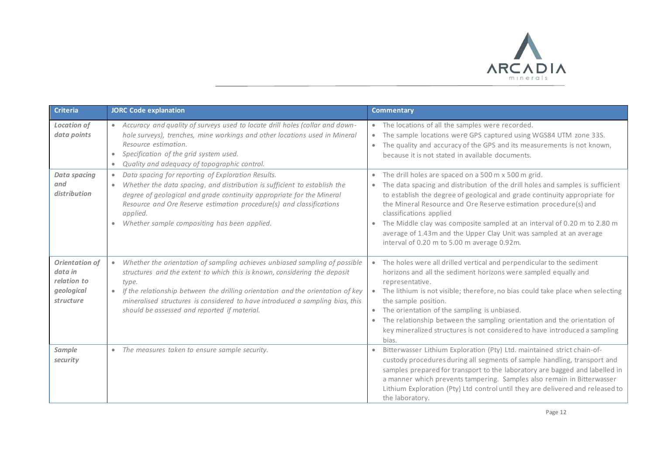

| <b>Criteria</b>                                                     | <b>JORC Code explanation</b>                                                                                                                                                                                                                                                                                                                                                                                   | <b>Commentary</b>                                                                                                                                                                                                                                                                                                                                                                                                                                                                                                                                          |  |
|---------------------------------------------------------------------|----------------------------------------------------------------------------------------------------------------------------------------------------------------------------------------------------------------------------------------------------------------------------------------------------------------------------------------------------------------------------------------------------------------|------------------------------------------------------------------------------------------------------------------------------------------------------------------------------------------------------------------------------------------------------------------------------------------------------------------------------------------------------------------------------------------------------------------------------------------------------------------------------------------------------------------------------------------------------------|--|
| <b>Location of</b><br>data points                                   | • Accuracy and quality of surveys used to locate drill holes (collar and down-<br>hole surveys), trenches, mine workings and other locations used in Mineral<br>Resource estimation.<br>Specification of the grid system used.<br>$\bullet$<br>Quality and adequacy of topographic control.                                                                                                                    | • The locations of all the samples were recorded.<br>The sample locations were GPS captured using WGS84 UTM zone 33S.<br>• The quality and accuracy of the GPS and its measurements is not known,<br>because it is not stated in available documents.                                                                                                                                                                                                                                                                                                      |  |
| <b>Data spacing</b><br>and<br>distribution                          | Data spacing for reporting of Exploration Results.<br>$\bullet$<br>Whether the data spacing, and distribution is sufficient to establish the<br>$\bullet$<br>degree of geological and grade continuity appropriate for the Mineral<br>Resource and Ore Reserve estimation procedure(s) and classifications<br>applied.<br>Whether sample compositing has been applied.<br>$\bullet$                            | The drill holes are spaced on a 500 m x 500 m grid.<br>$\bullet$<br>The data spacing and distribution of the drill holes and samples is sufficient<br>$\bullet$<br>to establish the degree of geological and grade continuity appropriate for<br>the Mineral Resource and Ore Reserve estimation procedure(s) and<br>classifications applied<br>The Middle clay was composite sampled at an interval of 0.20 m to 2.80 m<br>$\bullet$<br>average of 1.43m and the Upper Clay Unit was sampled at an average<br>interval of 0.20 m to 5.00 m average 0.92m. |  |
| Orientation of<br>data in<br>relation to<br>geological<br>structure | Whether the orientation of sampling achieves unbiased sampling of possible<br>$\bullet$<br>structures and the extent to which this is known, considering the deposit<br>type.<br>If the relationship between the drilling orientation and the orientation of key<br>$\bullet$<br>mineralised structures is considered to have introduced a sampling bias, this<br>should be assessed and reported if material. | • The holes were all drilled vertical and perpendicular to the sediment<br>horizons and all the sediment horizons were sampled equally and<br>representative.<br>The lithium is not visible; therefore, no bias could take place when selecting<br>the sample position.<br>The orientation of the sampling is unbiased.<br>The relationship between the sampling orientation and the orientation of<br>key mineralized structures is not considered to have introduced a sampling<br>bias.                                                                 |  |
| Sample<br>security                                                  | • The measures taken to ensure sample security.                                                                                                                                                                                                                                                                                                                                                                | Bitterwasser Lithium Exploration (Pty) Ltd. maintained strict chain-of-<br>custody procedures during all segments of sample handling, transport and<br>samples prepared for transport to the laboratory are bagged and labelled in<br>a manner which prevents tampering. Samples also remain in Bitterwasser<br>Lithium Exploration (Pty) Ltd control until they are delivered and released to<br>the laboratory.                                                                                                                                          |  |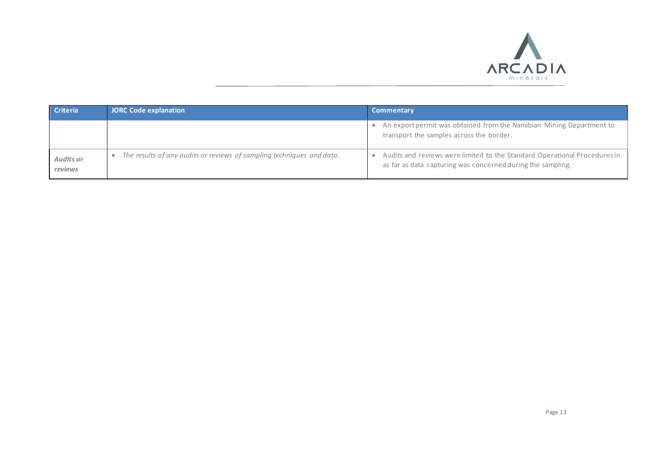

| <b>Criteria</b>             | JORC Code explanation                                                 | <b>Commentary</b>                                                                                                                        |
|-----------------------------|-----------------------------------------------------------------------|------------------------------------------------------------------------------------------------------------------------------------------|
|                             |                                                                       | • An export permit was obtained from the Namibian Mining Department to<br>transport the samples across the border.                       |
| <b>Audits or</b><br>reviews | The results of any audits or reviews of sampling techniques and data. | Audits and reviews were limited to the Standard Operational Procedures in<br>as far as data capturing was concerned during the sampling. |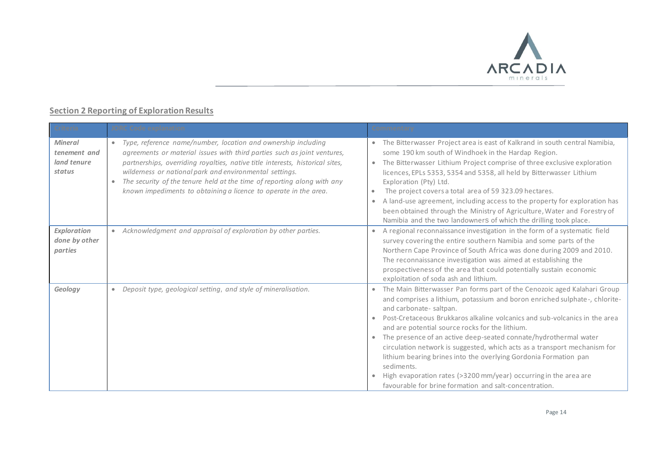

## **Section 2 Reporting of Exploration Results**

| <b>Criteria</b>                                         | <b>JORC</b> Code explanation                                                                                                                                                                                                                                                                                                                                                                                                                      | <b>Commentary</b>                                                                                                                                                                                                                                                                                                                                                                                                                                                                                                                                                                                                                                                                                                                      |
|---------------------------------------------------------|---------------------------------------------------------------------------------------------------------------------------------------------------------------------------------------------------------------------------------------------------------------------------------------------------------------------------------------------------------------------------------------------------------------------------------------------------|----------------------------------------------------------------------------------------------------------------------------------------------------------------------------------------------------------------------------------------------------------------------------------------------------------------------------------------------------------------------------------------------------------------------------------------------------------------------------------------------------------------------------------------------------------------------------------------------------------------------------------------------------------------------------------------------------------------------------------------|
| <b>Mineral</b><br>tenement and<br>land tenure<br>status | Type, reference name/number, location and ownership including<br>$\bullet$<br>agreements or material issues with third parties such as joint ventures,<br>partnerships, overriding royalties, native title interests, historical sites,<br>wilderness or national park and environmental settings.<br>The security of the tenure held at the time of reporting along with any<br>known impediments to obtaining a licence to operate in the area. | • The Bitterwasser Project area is east of Kalkrand in south central Namibia,<br>some 190 km south of Windhoek in the Hardap Region.<br>The Bitterwasser Lithium Project comprise of three exclusive exploration<br>$\bullet$<br>licences, EPLs 5353, 5354 and 5358, all held by Bitterwasser Lithium<br>Exploration (Pty) Ltd.<br>The project covers a total area of 59 323.09 hectares.<br>A land-use agreement, including access to the property for exploration has<br>been obtained through the Ministry of Agriculture, Water and Forestry of<br>Namibia and the two landowners of which the drilling took place.                                                                                                                |
| Exploration<br>done by other<br>parties                 | Acknowledgment and appraisal of exploration by other parties.<br>$\bullet$                                                                                                                                                                                                                                                                                                                                                                        | A regional reconnaissance investigation in the form of a systematic field<br>$\bullet$<br>survey covering the entire southern Namibia and some parts of the<br>Northern Cape Province of South Africa was done during 2009 and 2010.<br>The reconnaissance investigation was aimed at establishing the<br>prospectiveness of the area that could potentially sustain economic<br>exploitation of soda ash and lithium.                                                                                                                                                                                                                                                                                                                 |
| Geology                                                 | Deposit type, geological setting, and style of mineralisation.<br>$\bullet$                                                                                                                                                                                                                                                                                                                                                                       | The Main Bitterwasser Pan forms part of the Cenozoic aged Kalahari Group<br>$\bullet$<br>and comprises a lithium, potassium and boron enriched sulphate-, chlorite-<br>and carbonate-saltpan.<br>Post-Cretaceous Brukkaros alkaline volcanics and sub-volcanics in the area<br>$\bullet$<br>and are potential source rocks for the lithium.<br>The presence of an active deep-seated connate/hydrothermal water<br>$\bullet$<br>circulation network is suggested, which acts as a transport mechanism for<br>lithium bearing brines into the overlying Gordonia Formation pan<br>sediments.<br>High evaporation rates (>3200 mm/year) occurring in the area are<br>$\bullet$<br>favourable for brine formation and salt-concentration. |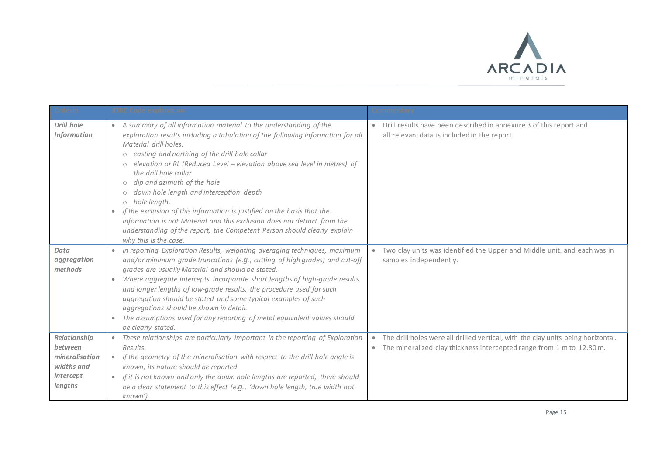

| <b>Criteria</b>                                                                 | <b>JORC Code explanation</b>                                                                                                                                                                                                                                                                                                                                                                                                                                                                                                                                                                                                                                                                                                                                                  | <b>Commentary</b>                                                                                                                                                      |
|---------------------------------------------------------------------------------|-------------------------------------------------------------------------------------------------------------------------------------------------------------------------------------------------------------------------------------------------------------------------------------------------------------------------------------------------------------------------------------------------------------------------------------------------------------------------------------------------------------------------------------------------------------------------------------------------------------------------------------------------------------------------------------------------------------------------------------------------------------------------------|------------------------------------------------------------------------------------------------------------------------------------------------------------------------|
| <b>Drill hole</b><br><b>Information</b>                                         | • A summary of all information material to the understanding of the<br>exploration results including a tabulation of the following information for all<br>Material drill holes:<br>easting and northing of the drill hole collar<br>$\circlearrowright$<br>elevation or RL (Reduced Level - elevation above sea level in metres) of<br>the drill hole collar<br>dip and azimuth of the hole<br>$\circlearrowright$<br>down hole length and interception depth<br>hole length.<br>$\circlearrowright$<br>If the exclusion of this information is justified on the basis that the<br>$\bullet$<br>information is not Material and this exclusion does not detract from the<br>understanding of the report, the Competent Person should clearly explain<br>why this is the case. | Drill results have been described in annexure 3 of this report and<br>all relevant data is included in the report.                                                     |
| Data<br>aggregation<br>methods                                                  | • In reporting Exploration Results, weighting averaging techniques, maximum<br>and/or minimum grade truncations (e.g., cutting of high grades) and cut-off<br>grades are usually Material and should be stated.<br>Where aggregate intercepts incorporate short lengths of high-grade results<br>$\bullet$<br>and longer lengths of low-grade results, the procedure used for such<br>aggregation should be stated and some typical examples of such<br>aggregations should be shown in detail.<br>The assumptions used for any reporting of metal equivalent values should<br>be clearly stated.                                                                                                                                                                             | Two clay units was identified the Upper and Middle unit, and each was in<br>samples independently.                                                                     |
| Relationship<br>between<br>mineralisation<br>widths and<br>intercept<br>lengths | These relationships are particularly important in the reporting of Exploration<br>$\bullet$<br>Results.<br>If the geometry of the mineralisation with respect to the drill hole angle is<br>$\bullet$<br>known, its nature should be reported.<br>If it is not known and only the down hole lengths are reported, there should<br>$\bullet$<br>be a clear statement to this effect (e.g., 'down hole length, true width not<br>known').                                                                                                                                                                                                                                                                                                                                       | The drill holes were all drilled vertical, with the clay units being horizontal.<br>The mineralized clay thickness intercepted range from 1 m to 12.80 m.<br>$\bullet$ |